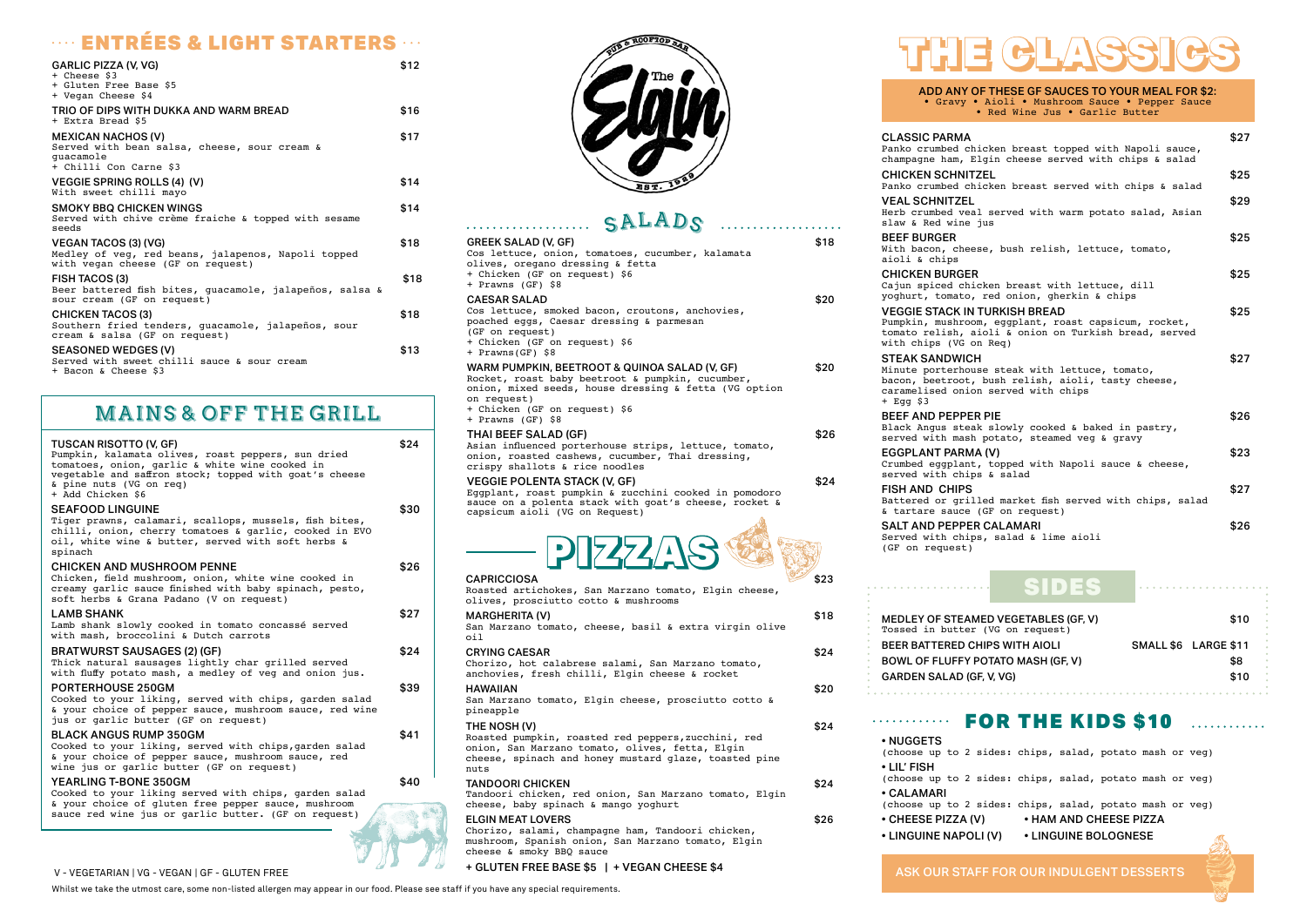### **ENTRÉES & LIGHT STARTERS**

| <b>GARLIC PIZZA (V. VG)</b><br>+ Cheese \$3<br>+ Gluten Free Base \$5<br>+ Vegan Cheese \$4                            | \$12 |
|------------------------------------------------------------------------------------------------------------------------|------|
| TRIO OF DIPS WITH DUKKA AND WARM BREAD<br>+ Extra Bread \$5                                                            | \$16 |
| <b>MEXICAN NACHOS (V)</b><br>Served with bean salsa, cheese, sour cream &<br>quacamole<br>+ Chilli Con Carne \$3       | \$17 |
| <b>VEGGIE SPRING ROLLS (4) (V)</b><br>With sweet chilli mayo                                                           | \$14 |
| <b>SMOKY BBQ CHICKEN WINGS</b><br>Served with chive crème fraiche & topped with sesame<br>seeds                        | \$14 |
| <b>VEGAN TACOS (3) (VG)</b><br>Medley of veg, red beans, jalapenos, Napoli topped<br>with vegan cheese (GF on request) | \$18 |
| FISH TACOS (3)<br>Beer battered fish bites, quacamole, jalapeños, salsa &<br>sour cream (GF on request)                | \$18 |
| <b>CHICKEN TACOS (3)</b><br>Southern fried tenders, quacamole, jalapeños, sour<br>cream & salsa (GF on request)        | \$18 |
| <b>SEASONED WEDGES (V)</b><br>Served with sweet chilli sauce & sour cream<br>+ Bacon & Cheese \$3                      | \$13 |
|                                                                                                                        |      |

**VEAL SCHNITZEL** Herb crumbed veal slaw & Red wine jus

**BEEF BURGER** With bacon, cheese aioli & chips

**CHICKEN BURGER** Cajun spiced chick yoghurt, tomato, re

**VEGGIE STACK IN TU** Pumpkin, mushroom, tomato relish, aio with chips (VG on

| 2 <i>u</i> mun?                                                                                                                                                                                                                 |      |
|---------------------------------------------------------------------------------------------------------------------------------------------------------------------------------------------------------------------------------|------|
| <b>GREEK SALAD (V, GF)</b><br>Cos lettuce, onion, tomatoes, cucumber, kalamata<br>olives, oregano dressing & fetta<br>+ Chicken (GF on request) \$6<br>+ Prawns (GF) \$8                                                        | \$18 |
| <b>CAESAR SALAD</b><br>Cos lettuce, smoked bacon, croutons, anchovies,<br>poached eggs, Caesar dressing & parmesan<br>(GF on request)<br>+ Chicken (GF on request) \$6<br>+ Prawns(GF) \$8                                      | \$20 |
| WARM PUMPKIN, BEETROOT & QUINOA SALAD (V, GF)<br>Rocket, roast baby beetroot & pumpkin, cucumber,<br>onion, mixed seeds, house dressing & fetta (VG option<br>on request)<br>+ Chicken (GF on request) \$6<br>+ Prawns (GF) \$8 | \$20 |
| <b>THAI BEEF SALAD (GF)</b><br>Asian influenced porterhouse strips, lettuce, tomato,<br>onion, roasted cashews, cucumber, Thai dressing,<br>crispy shallots & rice noodles                                                      | \$26 |
| <b>VEGGIE POLENTA STACK (V, GF)</b><br>Eggplant, roast pumpkin & zucchini cooked in pomodoro<br>sauce on a polenta stack with goat's cheese, rocket &<br>capsicum aioli (VG on Request)                                         | \$24 |
| $P$ $Z$ $Z$ $Z$ $R$ $S$                                                                                                                                                                                                         |      |
| <b>CAPRICCIOSA</b><br>Roasted artichokes, San Marzano tomato, Elgin cheese,<br>olives, prosciutto cotto & mushrooms                                                                                                             | \$23 |
| <b>MARGHERITA (V)</b><br>San Marzano tomato, cheese, basil & extra virgin olive<br>oil                                                                                                                                          | \$18 |
| <b>CRYING CAESAR</b><br>Chorizo, hot calabrese salami, San Marzano tomato,<br>anchovies, fresh chilli, Elgin cheese & rocket                                                                                                    | \$24 |
| <b>HAWAIIAN</b><br>San Marzano tomato, Elgin cheese, prosciutto cotto &<br>pineapple                                                                                                                                            | \$20 |
| THE NOSH (V)<br>Roasted pumpkin, roasted red peppers, zucchini, red<br>onion, San Marzano tomato, olives, fetta, Elgin<br>cheese, spinach and honey mustard glaze, toasted pine<br>nuts                                         | \$24 |
| <b>TANDOORI CHICKEN</b><br>Tandoori chicken, red onion, San Marzano tomato, Elgin<br>cheese, baby spinach & mango yoghurt                                                                                                       | \$24 |
| <b>ELGIN MEAT LOVERS</b><br>Chorizo, salami, champagne ham, Tandoori chicken,<br>mushroom, Spanish onion, San Marzano tomato, Elgin                                                                                             | \$26 |



**CLASSIC PARMA** Panko crumbed chick champagne ham, Elg

CHICKEN SCHNITZEI Panko crumbed chich

**STEAK SANDWICH** Minute porterhouse bacon, beetroot, bu caramelised onion + Egg \$3

BEEF AND PEPPER P Black Angus steak served with mash p

**EGGPLANT PARMA (** Crumbed eggplant,  $s$ erved with chips

**FISH AND CHIPS** Battered or grille  $\&$  tartare sauce (GI

**SALT AND PEPPER C.** Served with chips, salad & lime aioli (GF on request)

<u>a a a a a a a a a a .</u>

cheese & smoky BBQ sauce

+ GLUTEN FREE BASE \$5 | + VEGAN CHEESE \$4

ADD ANY OF THESE GF SAUCES TO YOUR MEAL FOR \$2: • Gravy • Aioli • Mushroom Sauce • Pepper Sauce • Red Wine Jus • Garlic Butter

|                                                                                                         | \$27 |
|---------------------------------------------------------------------------------------------------------|------|
| ken breast topped with Napoli sauce,<br>in cheese served with chips & salad                             |      |
| Ŧ.<br>ken breast served with chips & salad                                                              | \$25 |
| served with warm potato salad, Asian<br>s                                                               | \$29 |
| , bush relish, lettuce, tomato,                                                                         | \$25 |
| en breast with lettuce, dill<br>ed onion, gherkin & chips                                               | \$25 |
| <b>JRKISH BREAD</b><br>eggplant, roast capsicum, rocket,<br>li & onion on Turkish bread, served<br>Req) | \$25 |
| steak with lettuce, tomato,<br>ush relish, aioli, tasty cheese,<br>served with chips                    | \$27 |
| ગF<br>slowly cooked & baked in pastry,<br>otato, steamed veg & gravy                                    | \$26 |
| V)<br>topped with Napoli sauce & cheese,<br>& salad                                                     | \$23 |
| d market fish served with chips, salad                                                                  | \$27 |
| F on request)<br><b>CALAMARI</b>                                                                        | \$26 |

| FOR THE RIDS <b>210</b>                                                       |  |                        |  |
|-------------------------------------------------------------------------------|--|------------------------|--|
| • NUGGETS<br>(choose up to 2 sides: chips, salad, potato mash or veg)         |  |                        |  |
| $\cdot$ LIL' FISH<br>(choose up to 2 sides: chips, salad, potato mash or veg) |  |                        |  |
| • CALAMARI<br>(choose up to 2 sides: chips, salad, potato mash or veg)        |  |                        |  |
| • CHEESE PIZZA (V)                                                            |  | • HAM AND CHEESE PIZZA |  |
| • LINGUINE NAPOLI (V)                                                         |  | • LINGUINE BOLOGNESE   |  |

## MAINS & OFF THE GRILL

#### TUSCAN RISOTTO (V, GF) \$24

| Pumpkin, kalamata olives, roast peppers, sun dried<br>tomatoes, onion, garlic & white wine cooked in<br>vegetable and saffron stock; topped with goat's cheese<br>& pine nuts (VG on req)<br>+ Add Chicken \$6 |      |
|----------------------------------------------------------------------------------------------------------------------------------------------------------------------------------------------------------------|------|
| <b>SEAFOOD LINGUINE</b><br>Tiger prawns, calamari, scallops, mussels, fish bites,<br>chilli, onion, cherry tomatoes & garlic, cooked in EVO<br>oil, white wine & butter, served with soft herbs &<br>spinach   | \$30 |
| <b>CHICKEN AND MUSHROOM PENNE</b><br>Chicken, field mushroom, onion, white wine cooked in<br>creamy garlic sauce finished with baby spinach, pesto,<br>soft herbs & Grana Padano (V on request)                | \$26 |
| <b>LAMB SHANK</b><br>Lamb shank slowly cooked in tomato concassé served<br>with mash, broccolini & Dutch carrots                                                                                               | \$27 |
| <b>BRATWURST SAUSAGES (2) (GF)</b><br>Thick natural sausages lightly char grilled served<br>with fluffy potato mash, a medley of veg and onion jus.                                                            | \$24 |
| <b>PORTERHOUSE 250GM</b><br>Cooked to your liking, served with chips, garden salad<br>& your choice of pepper sauce, mushroom sauce, red wine<br>jus or garlic butter (GF on request)                          | \$39 |
| <b>BLACK ANGUS RUMP 350GM</b><br>Cooked to your liking, served with chips, garden salad<br>& your choice of pepper sauce, mushroom sauce, red<br>wine jus or garlic butter (GF on request)                     | \$41 |
| <b>YEARLING T-BONE 350GM</b><br>Cooked to your liking served with chips, garden salad<br>& your choice of gluten free pepper sauce, mushroom<br>sauce red wine jus or garlic butter. (GF on request)           | \$40 |
|                                                                                                                                                                                                                |      |



# **CALAD**

ASK OUR STAFF FOR OUR INDULGENT DESSERTS

| <b>MEDLEY OF STEAMED VEGETABLES (</b><br>Tossed in butter (VG on request) |
|---------------------------------------------------------------------------|
| <b>BEER BATTERED CHIPS WITH AIOLI</b>                                     |
| <b>BOWL OF FLUFFY POTATO MASH (GF,</b>                                    |
| <b>GARDEN SALAD (GF. V. VG)</b>                                           |
|                                                                           |
|                                                                           |

| <b>MEDLEY OF STEAMED VEGETABLES (GF. V)</b><br>Tossed in butter (VG on request) | \$10                 |
|---------------------------------------------------------------------------------|----------------------|
| BEER BATTERED CHIPS WITH AIOLI                                                  | SMALL \$6 LARGE \$11 |
| <b>BOWL OF FLUFFY POTATO MASH (GF, V)</b>                                       | \$8                  |
| <b>GARDEN SALAD (GF. V. VG)</b>                                                 | \$10                 |
|                                                                                 |                      |

#### FOR THE KIDS & ALCOHOL

SIDES



#### V - VEGETARIAN | VG - VEGAN | GF - GLUTEN FREE

Whilst we take the utmost care, some non-listed allergen may appear in our food. Please see staff if you have any special requirements.